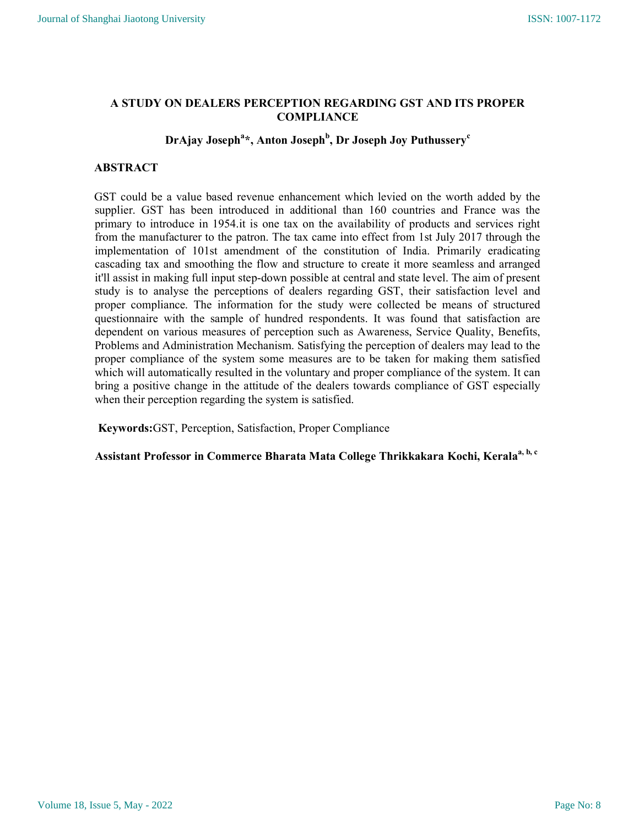# A STUDY ON DEALERS PERCEPTION REGARDING GST AND ITS PROPER **COMPLIANCE**

# DrAjay Joseph $\mathrm{^{a}}\ast ,$  Anton Joseph $\mathrm{^{b},}$  Dr Joseph Joy Puthussery $\mathrm{^{c}}$

# ABSTRACT

GST could be a value based revenue enhancement which levied on the worth added by the supplier. GST has been introduced in additional than 160 countries and France was the primary to introduce in 1954.it is one tax on the availability of products and services right from the manufacturer to the patron. The tax came into effect from 1st July 2017 through the implementation of 101st amendment of the constitution of India. Primarily eradicating cascading tax and smoothing the flow and structure to create it more seamless and arranged it'll assist in making full input step-down possible at central and state level. The aim of present study is to analyse the perceptions of dealers regarding GST, their satisfaction level and proper compliance. The information for the study were collected be means of structured questionnaire with the sample of hundred respondents. It was found that satisfaction are dependent on various measures of perception such as Awareness, Service Quality, Benefits, Problems and Administration Mechanism. Satisfying the perception of dealers may lead to the proper compliance of the system some measures are to be taken for making them satisfied which will automatically resulted in the voluntary and proper compliance of the system. It can bring a positive change in the attitude of the dealers towards compliance of GST especially when their perception regarding the system is satisfied.

Keywords:GST, Perception, Satisfaction, Proper Compliance

Assistant Professor in Commerce Bharata Mata College Thrikkakara Kochi, Kerala<sup>a, b, c</sup>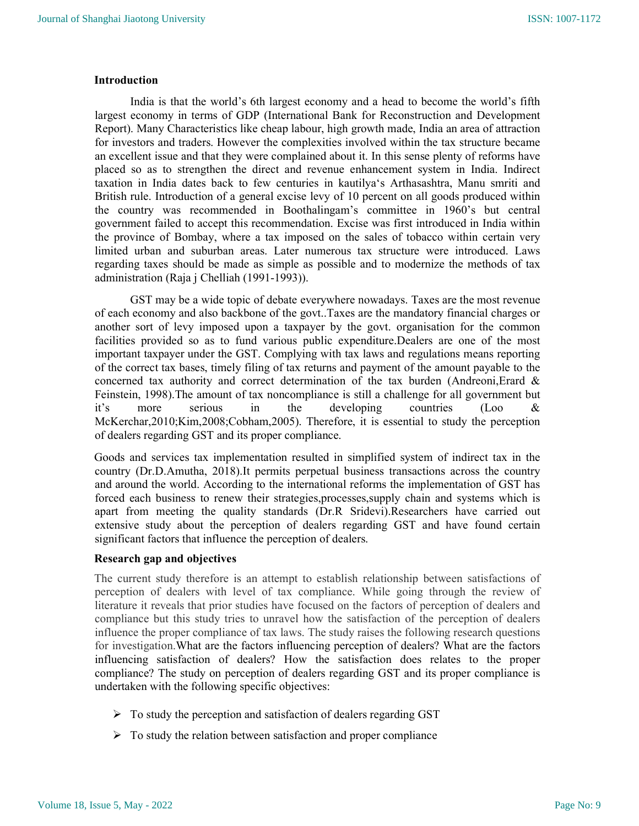#### Introduction

India is that the world's 6th largest economy and a head to become the world's fifth largest economy in terms of GDP (International Bank for Reconstruction and Development Report). Many Characteristics like cheap labour, high growth made, India an area of attraction for investors and traders. However the complexities involved within the tax structure became an excellent issue and that they were complained about it. In this sense plenty of reforms have placed so as to strengthen the direct and revenue enhancement system in India. Indirect taxation in India dates back to few centuries in kautilya's Arthasashtra, Manu smriti and British rule. Introduction of a general excise levy of 10 percent on all goods produced within the country was recommended in Boothalingam's committee in 1960's but central government failed to accept this recommendation. Excise was first introduced in India within the province of Bombay, where a tax imposed on the sales of tobacco within certain very limited urban and suburban areas. Later numerous tax structure were introduced. Laws regarding taxes should be made as simple as possible and to modernize the methods of tax administration (Raja j Chelliah (1991-1993)).

GST may be a wide topic of debate everywhere nowadays. Taxes are the most revenue of each economy and also backbone of the govt..Taxes are the mandatory financial charges or another sort of levy imposed upon a taxpayer by the govt. organisation for the common facilities provided so as to fund various public expenditure.Dealers are one of the most important taxpayer under the GST. Complying with tax laws and regulations means reporting of the correct tax bases, timely filing of tax returns and payment of the amount payable to the concerned tax authority and correct determination of the tax burden (Andreoni,Erard & Feinstein, 1998).The amount of tax noncompliance is still a challenge for all government but it's more serious in the developing countries (Loo & McKerchar,2010;Kim,2008;Cobham,2005). Therefore, it is essential to study the perception of dealers regarding GST and its proper compliance.

Goods and services tax implementation resulted in simplified system of indirect tax in the country (Dr.D.Amutha, 2018).It permits perpetual business transactions across the country and around the world. According to the international reforms the implementation of GST has forced each business to renew their strategies,processes,supply chain and systems which is apart from meeting the quality standards (Dr.R Sridevi).Researchers have carried out extensive study about the perception of dealers regarding GST and have found certain significant factors that influence the perception of dealers.

#### Research gap and objectives

The current study therefore is an attempt to establish relationship between satisfactions of perception of dealers with level of tax compliance. While going through the review of literature it reveals that prior studies have focused on the factors of perception of dealers and compliance but this study tries to unravel how the satisfaction of the perception of dealers influence the proper compliance of tax laws. The study raises the following research questions for investigation.What are the factors influencing perception of dealers? What are the factors influencing satisfaction of dealers? How the satisfaction does relates to the proper compliance? The study on perception of dealers regarding GST and its proper compliance is undertaken with the following specific objectives:

- $\triangleright$  To study the perception and satisfaction of dealers regarding GST
- $\triangleright$  To study the relation between satisfaction and proper compliance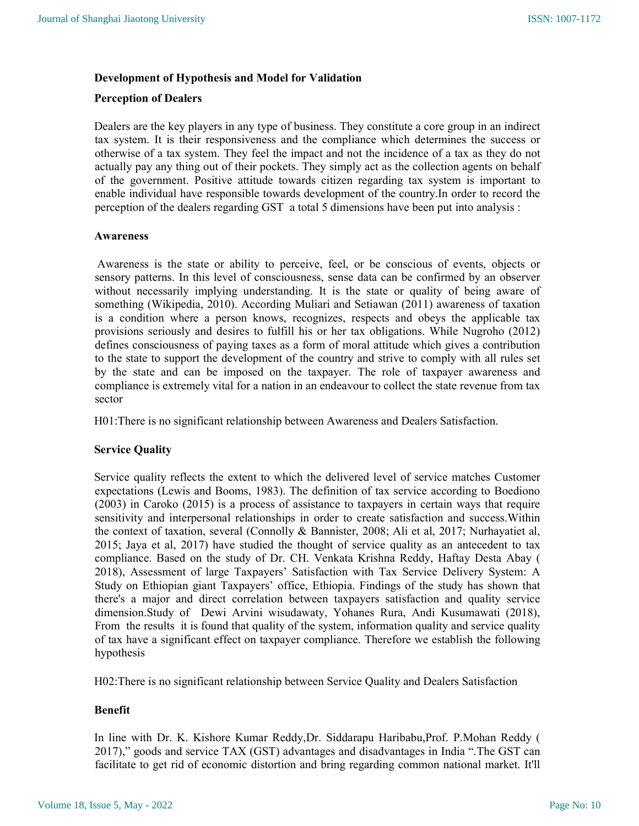### Development of Hypothesis and Model for Validation

#### Perception of Dealers

Dealers are the key players in any type of business. They constitute a core group in an indirect tax system. It is their responsiveness and the compliance which determines the success or otherwise of a tax system. They feel the impact and not the incidence of a tax as they do not actually pay any thing out of their pockets. They simply act as the collection agents on behalf of the government. Positive attitude towards citizen regarding tax system is important to enable individual have responsible towards development of the country.In order to record the perception of the dealers regarding GST a total 5 dimensions have been put into analysis :

#### Awareness

 Awareness is the state or ability to perceive, feel, or be conscious of events, objects or sensory patterns. In this level of consciousness, sense data can be confirmed by an observer without necessarily implying understanding. It is the state or quality of being aware of something (Wikipedia, 2010). According Muliari and Setiawan (2011) awareness of taxation is a condition where a person knows, recognizes, respects and obeys the applicable tax provisions seriously and desires to fulfill his or her tax obligations. While Nugroho (2012) defines consciousness of paying taxes as a form of moral attitude which gives a contribution to the state to support the development of the country and strive to comply with all rules set by the state and can be imposed on the taxpayer. The role of taxpayer awareness and compliance is extremely vital for a nation in an endeavour to collect the state revenue from tax sector

H01:There is no significant relationship between Awareness and Dealers Satisfaction.

#### Service Quality

Service quality reflects the extent to which the delivered level of service matches Customer expectations (Lewis and Booms, 1983). The definition of tax service according to Boediono (2003) in Caroko (2015) is a process of assistance to taxpayers in certain ways that require sensitivity and interpersonal relationships in order to create satisfaction and success.Within the context of taxation, several (Connolly & Bannister, 2008; Ali et al, 2017; Nurhayatiet al, 2015; Jaya et al, 2017) have studied the thought of service quality as an antecedent to tax compliance. Based on the study of Dr. CH. Venkata Krishna Reddy, Haftay Desta Abay ( 2018), Assessment of large Taxpayers' Satisfaction with Tax Service Delivery System: A Study on Ethiopian giant Taxpayers' office, Ethiopia. Findings of the study has shown that there's a major and direct correlation between taxpayers satisfaction and quality service dimension.Study of Dewi Arvini wisudawaty, Yohanes Rura, Andi Kusumawati (2018), From the results it is found that quality of the system, information quality and service quality of tax have a significant effect on taxpayer compliance. Therefore we establish the following hypothesis

H02:There is no significant relationship between Service Quality and Dealers Satisfaction

#### Benefit

In line with Dr. K. Kishore Kumar Reddy,Dr. Siddarapu Haribabu,Prof. P.Mohan Reddy ( 2017)," goods and service TAX (GST) advantages and disadvantages in India ".The GST can facilitate to get rid of economic distortion and bring regarding common national market. It'll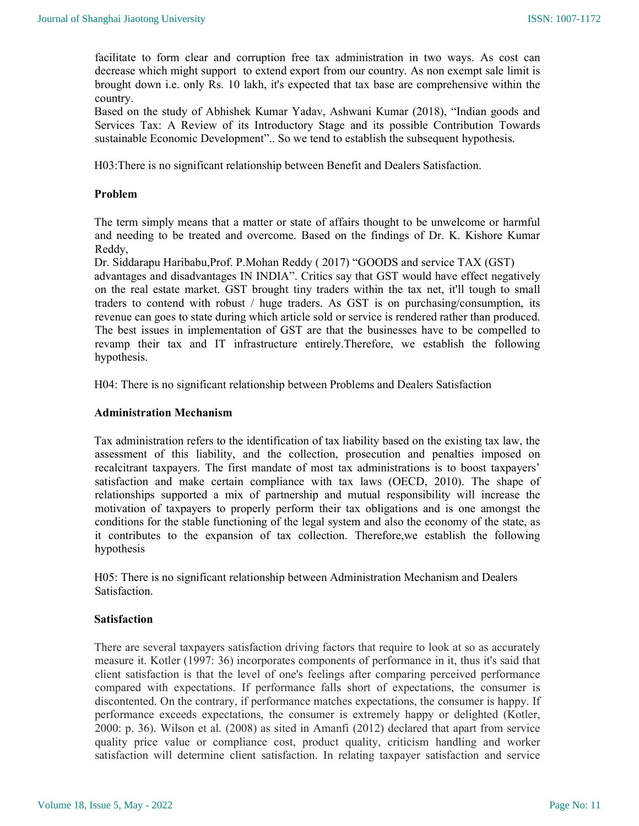facilitate to form clear and corruption free tax administration in two ways. As cost can decrease which might support to extend export from our country. As non exempt sale limit is brought down i.e. only Rs. 10 lakh, it's expected that tax base are comprehensive within the country.

Based on the study of Abhishek Kumar Yadav, Ashwani Kumar (2018), "Indian goods and Services Tax: A Review of its Introductory Stage and its possible Contribution Towards sustainable Economic Development".. So we tend to establish the subsequent hypothesis.

H03:There is no significant relationship between Benefit and Dealers Satisfaction.

### Problem

The term simply means that a matter or state of affairs thought to be unwelcome or harmful and needing to be treated and overcome. Based on the findings of Dr. K. Kishore Kumar Reddy,

Dr. Siddarapu Haribabu,Prof. P.Mohan Reddy ( 2017) "GOODS and service TAX (GST) advantages and disadvantages IN INDIA". Critics say that GST would have effect negatively on the real estate market. GST brought tiny traders within the tax net, it'll tough to small traders to contend with robust / huge traders. As GST is on purchasing/consumption, its revenue can goes to state during which article sold or service is rendered rather than produced. The best issues in implementation of GST are that the businesses have to be compelled to revamp their tax and IT infrastructure entirely.Therefore, we establish the following hypothesis.

H04: There is no significant relationship between Problems and Dealers Satisfaction

### Administration Mechanism

Tax administration refers to the identification of tax liability based on the existing tax law, the assessment of this liability, and the collection, prosecution and penalties imposed on recalcitrant taxpayers. The first mandate of most tax administrations is to boost taxpayers' satisfaction and make certain compliance with tax laws (OECD, 2010). The shape of relationships supported a mix of partnership and mutual responsibility will increase the motivation of taxpayers to properly perform their tax obligations and is one amongst the conditions for the stable functioning of the legal system and also the economy of the state, as it contributes to the expansion of tax collection. Therefore,we establish the following hypothesis

H05: There is no significant relationship between Administration Mechanism and Dealers Satisfaction.

#### Satisfaction

There are several taxpayers satisfaction driving factors that require to look at so as accurately measure it. Kotler (1997: 36) incorporates components of performance in it, thus it's said that client satisfaction is that the level of one's feelings after comparing perceived performance compared with expectations. If performance falls short of expectations, the consumer is discontented. On the contrary, if performance matches expectations, the consumer is happy. If performance exceeds expectations, the consumer is extremely happy or delighted (Kotler, 2000: p. 36). Wilson et al. (2008) as sited in Amanfi (2012) declared that apart from service quality price value or compliance cost, product quality, criticism handling and worker satisfaction will determine client satisfaction. In relating taxpayer satisfaction and service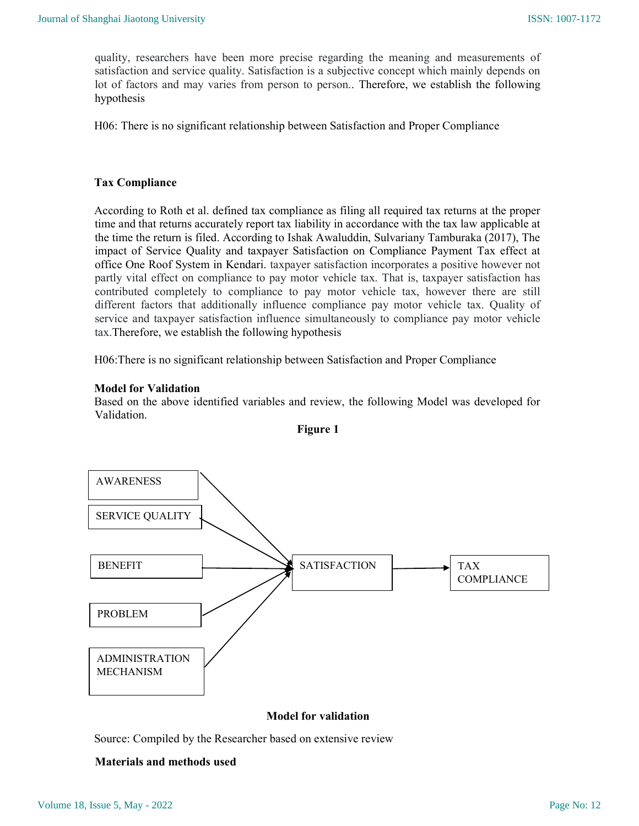quality, researchers have been more precise regarding the meaning and measurements of satisfaction and service quality. Satisfaction is a subjective concept which mainly depends on lot of factors and may varies from person to person.. Therefore, we establish the following hypothesis

H06: There is no significant relationship between Satisfaction and Proper Compliance

### Tax Compliance

According to Roth et al. defined tax compliance as filing all required tax returns at the proper time and that returns accurately report tax liability in accordance with the tax law applicable at the time the return is filed. According to Ishak Awaluddin, Sulvariany Tamburaka (2017), The impact of Service Quality and taxpayer Satisfaction on Compliance Payment Tax effect at office One Roof System in Kendari. taxpayer satisfaction incorporates a positive however not partly vital effect on compliance to pay motor vehicle tax. That is, taxpayer satisfaction has contributed completely to compliance to pay motor vehicle tax, however there are still different factors that additionally influence compliance pay motor vehicle tax. Quality of service and taxpayer satisfaction influence simultaneously to compliance pay motor vehicle tax.Therefore, we establish the following hypothesis

H06:There is no significant relationship between Satisfaction and Proper Compliance

### Model for Validation

Based on the above identified variables and review, the following Model was developed for Validation.



Figure 1

### Model for validation

Source: Compiled by the Researcher based on extensive review

#### Materials and methods used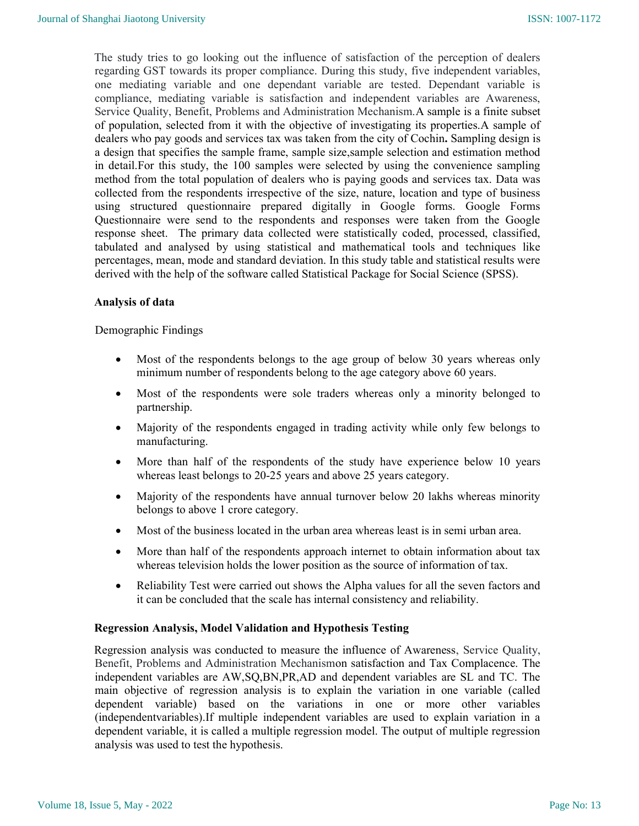The study tries to go looking out the influence of satisfaction of the perception of dealers regarding GST towards its proper compliance. During this study, five independent variables, one mediating variable and one dependant variable are tested. Dependant variable is compliance, mediating variable is satisfaction and independent variables are Awareness, Service Quality, Benefit, Problems and Administration Mechanism.A sample is a finite subset of population, selected from it with the objective of investigating its properties.A sample of dealers who pay goods and services tax was taken from the city of Cochin. Sampling design is a design that specifies the sample frame, sample size,sample selection and estimation method in detail.For this study, the 100 samples were selected by using the convenience sampling method from the total population of dealers who is paying goods and services tax. Data was collected from the respondents irrespective of the size, nature, location and type of business using structured questionnaire prepared digitally in Google forms. Google Forms Questionnaire were send to the respondents and responses were taken from the Google response sheet. The primary data collected were statistically coded, processed, classified, tabulated and analysed by using statistical and mathematical tools and techniques like percentages, mean, mode and standard deviation. In this study table and statistical results were derived with the help of the software called Statistical Package for Social Science (SPSS).

#### Analysis of data

#### Demographic Findings

- Most of the respondents belongs to the age group of below 30 years whereas only minimum number of respondents belong to the age category above 60 years.
- Most of the respondents were sole traders whereas only a minority belonged to partnership.
- Majority of the respondents engaged in trading activity while only few belongs to manufacturing.
- More than half of the respondents of the study have experience below 10 years whereas least belongs to 20-25 years and above 25 years category.
- Majority of the respondents have annual turnover below 20 lakhs whereas minority belongs to above 1 crore category.
- Most of the business located in the urban area whereas least is in semi urban area.
- More than half of the respondents approach internet to obtain information about tax whereas television holds the lower position as the source of information of tax.
- Reliability Test were carried out shows the Alpha values for all the seven factors and it can be concluded that the scale has internal consistency and reliability.

#### Regression Analysis, Model Validation and Hypothesis Testing

Regression analysis was conducted to measure the influence of Awareness, Service Quality, Benefit, Problems and Administration Mechanismon satisfaction and Tax Complacence. The independent variables are AW,SQ,BN,PR,AD and dependent variables are SL and TC. The main objective of regression analysis is to explain the variation in one variable (called dependent variable) based on the variations in one or more other variables (independentvariables).If multiple independent variables are used to explain variation in a dependent variable, it is called a multiple regression model. The output of multiple regression analysis was used to test the hypothesis.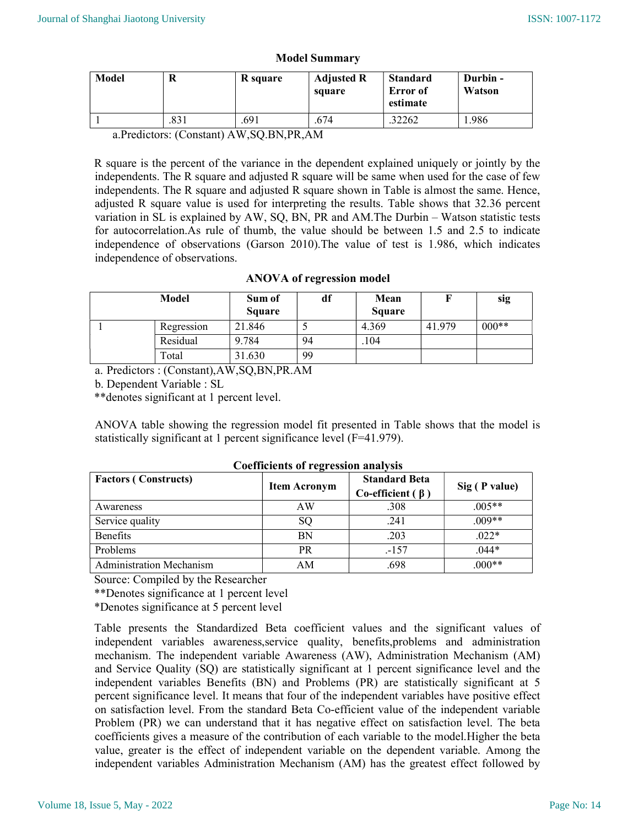| Model | R    | R square | <b>Adjusted R</b><br>square | <b>Standard</b><br>Error of<br>estimate | Durbin -<br>Watson |
|-------|------|----------|-----------------------------|-----------------------------------------|--------------------|
|       | .831 | .691     | .674                        | 32262                                   | 1.986              |

#### Model Summary

a.Predictors: (Constant) AW,SQ.BN,PR,AM

R square is the percent of the variance in the dependent explained uniquely or jointly by the independents. The R square and adjusted R square will be same when used for the case of few independents. The R square and adjusted R square shown in Table is almost the same. Hence, adjusted R square value is used for interpreting the results. Table shows that 32.36 percent variation in SL is explained by AW, SQ, BN, PR and AM.The Durbin – Watson statistic tests for autocorrelation.As rule of thumb, the value should be between 1.5 and 2.5 to indicate independence of observations (Garson 2010).The value of test is 1.986, which indicates independence of observations.

# ANOVA of regression model

|  | <b>Model</b> | Sum of<br><b>Square</b> | df | Mean<br><b>Square</b> |        | sig     |
|--|--------------|-------------------------|----|-----------------------|--------|---------|
|  | Regression   | 21.846                  |    | 4.369                 | 41.979 | $000**$ |
|  | Residual     | 9.784                   | 94 | .104                  |        |         |
|  | Total        | 31.630                  | 99 |                       |        |         |

a. Predictors : (Constant),AW,SQ,BN,PR.AM

b. Dependent Variable : SL

\*\*denotes significant at 1 percent level.

ANOVA table showing the regression model fit presented in Table shows that the model is statistically significant at 1 percent significance level (F=41.979).

| Counterents of regression amarysis |                     |                                                |               |  |  |  |
|------------------------------------|---------------------|------------------------------------------------|---------------|--|--|--|
| <b>Factors (Constructs)</b>        | <b>Item Acronym</b> | <b>Standard Beta</b><br>Co-efficient $(\beta)$ | Sig (P value) |  |  |  |
| Awareness                          | AW                  | .308                                           | $.005**$      |  |  |  |
| Service quality                    | <sub>SO</sub>       | .241                                           | $.009**$      |  |  |  |
| <b>Benefits</b>                    | <b>BN</b>           | .203                                           | $.022*$       |  |  |  |
| Problems                           | PR                  | $-157$                                         | $.044*$       |  |  |  |
| <b>Administration Mechanism</b>    | AM                  | .698                                           | $000**$       |  |  |  |

#### Coefficients of regression analysis

Source: Compiled by the Researcher

\*\*Denotes significance at 1 percent level

\*Denotes significance at 5 percent level

Table presents the Standardized Beta coefficient values and the significant values of independent variables awareness,service quality, benefits,problems and administration mechanism. The independent variable Awareness (AW), Administration Mechanism (AM) and Service Quality (SQ) are statistically significant at 1 percent significance level and the independent variables Benefits (BN) and Problems (PR) are statistically significant at 5 percent significance level. It means that four of the independent variables have positive effect on satisfaction level. From the standard Beta Co-efficient value of the independent variable Problem (PR) we can understand that it has negative effect on satisfaction level. The beta coefficients gives a measure of the contribution of each variable to the model.Higher the beta value, greater is the effect of independent variable on the dependent variable. Among the independent variables Administration Mechanism (AM) has the greatest effect followed by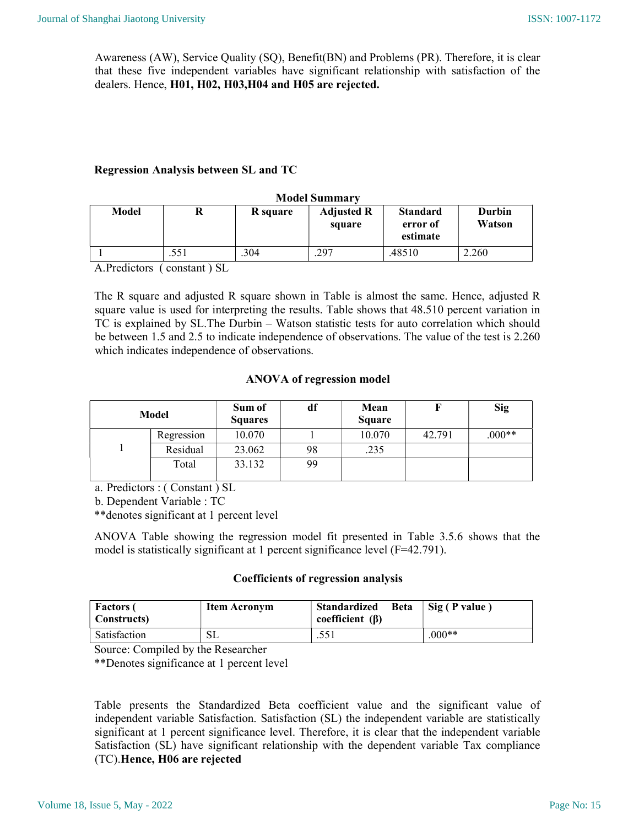Awareness (AW), Service Quality (SQ), Benefit(BN) and Problems (PR). Therefore, it is clear that these five independent variables have significant relationship with satisfaction of the dealers. Hence, H01, H02, H03,H04 and H05 are rejected.

# Regression Analysis between SL and TC

| <b>Model Summary</b> |      |          |                             |                                         |                         |
|----------------------|------|----------|-----------------------------|-----------------------------------------|-------------------------|
| Model                |      | R square | <b>Adjusted R</b><br>square | <b>Standard</b><br>error of<br>estimate | <b>Durbin</b><br>Watson |
|                      | .551 | .304     | .297                        | .48510                                  | 2.260                   |

A.Predictors ( constant ) SL

The R square and adjusted R square shown in Table is almost the same. Hence, adjusted R square value is used for interpreting the results. Table shows that 48.510 percent variation in TC is explained by SL.The Durbin – Watson statistic tests for auto correlation which should be between 1.5 and 2.5 to indicate independence of observations. The value of the test is 2.260 which indicates independence of observations.

### ANOVA of regression model

| Model      | Sum of<br><b>Squares</b> | df | Mean<br><b>Square</b> |        | <b>Sig</b> |
|------------|--------------------------|----|-----------------------|--------|------------|
| Regression | 10.070                   |    | 10.070                | 42.791 | $.000**$   |
| Residual   | 23.062                   | 98 | .235                  |        |            |
| Total      | 33.132                   | 99 |                       |        |            |

a. Predictors : ( Constant ) SL

b. Dependent Variable : TC

\*\*denotes significant at 1 percent level

ANOVA Table showing the regression model fit presented in Table 3.5.6 shows that the model is statistically significant at 1 percent significance level (F=42.791).

# Coefficients of regression analysis

| <b>Factors</b> (<br>  Constructs) | Item Acronym | Standardized<br><b>Beta</b><br>coefficient $(\beta)$ | Sig (P value) |
|-----------------------------------|--------------|------------------------------------------------------|---------------|
| Satisfaction                      | SL           | .551                                                 | $.000**$      |

Source: Compiled by the Researcher

\*\*Denotes significance at 1 percent level

Table presents the Standardized Beta coefficient value and the significant value of independent variable Satisfaction. Satisfaction (SL) the independent variable are statistically significant at 1 percent significance level. Therefore, it is clear that the independent variable Satisfaction (SL) have significant relationship with the dependent variable Tax compliance (TC).Hence, H06 are rejected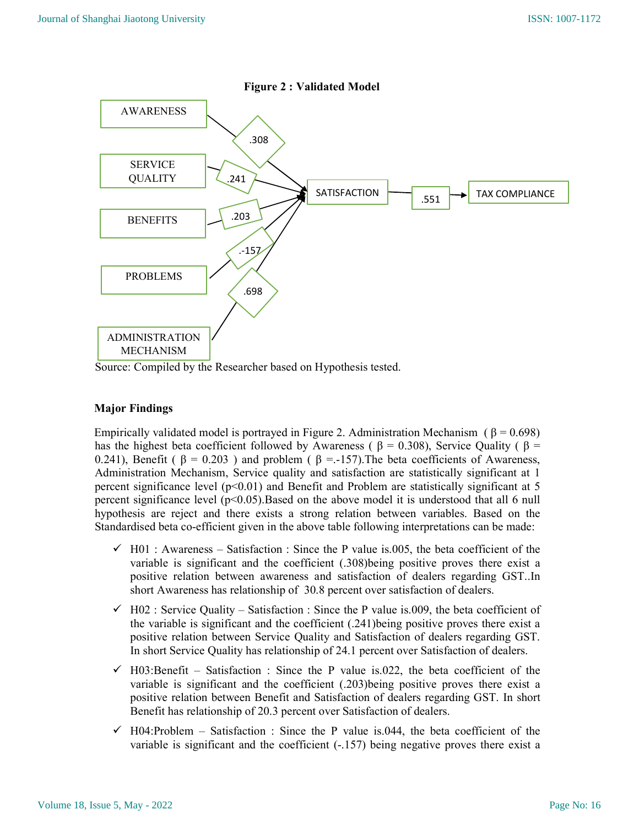

Figure 2 : Validated Model

Source: Compiled by the Researcher based on Hypothesis tested.

# Major Findings

Empirically validated model is portrayed in Figure 2. Administration Mechanism ( $\beta = 0.698$ ) has the highest beta coefficient followed by Awareness (  $\beta$  = 0.308), Service Quality (  $\beta$  = 0.241), Benefit (  $\beta = 0.203$  ) and problem (  $\beta = -157$ ). The beta coefficients of Awareness, Administration Mechanism, Service quality and satisfaction are statistically significant at 1 percent significance level  $(p<0.01)$  and Benefit and Problem are statistically significant at 5 percent significance level  $(p<0.05)$ . Based on the above model it is understood that all 6 null hypothesis are reject and there exists a strong relation between variables. Based on the Standardised beta co-efficient given in the above table following interpretations can be made:

- $\checkmark$  H01 : Awareness Satisfaction : Since the P value is.005, the beta coefficient of the variable is significant and the coefficient (.308)being positive proves there exist a positive relation between awareness and satisfaction of dealers regarding GST..In short Awareness has relationship of 30.8 percent over satisfaction of dealers.
- $\checkmark$  H02 : Service Quality Satisfaction : Since the P value is.009, the beta coefficient of the variable is significant and the coefficient (.241)being positive proves there exist a positive relation between Service Quality and Satisfaction of dealers regarding GST. In short Service Quality has relationship of 24.1 percent over Satisfaction of dealers.
- $\checkmark$  H03:Benefit Satisfaction : Since the P value is.022, the beta coefficient of the variable is significant and the coefficient (.203)being positive proves there exist a positive relation between Benefit and Satisfaction of dealers regarding GST. In short Benefit has relationship of 20.3 percent over Satisfaction of dealers.
- $\checkmark$  H04:Problem Satisfaction : Since the P value is.044, the beta coefficient of the variable is significant and the coefficient (-.157) being negative proves there exist a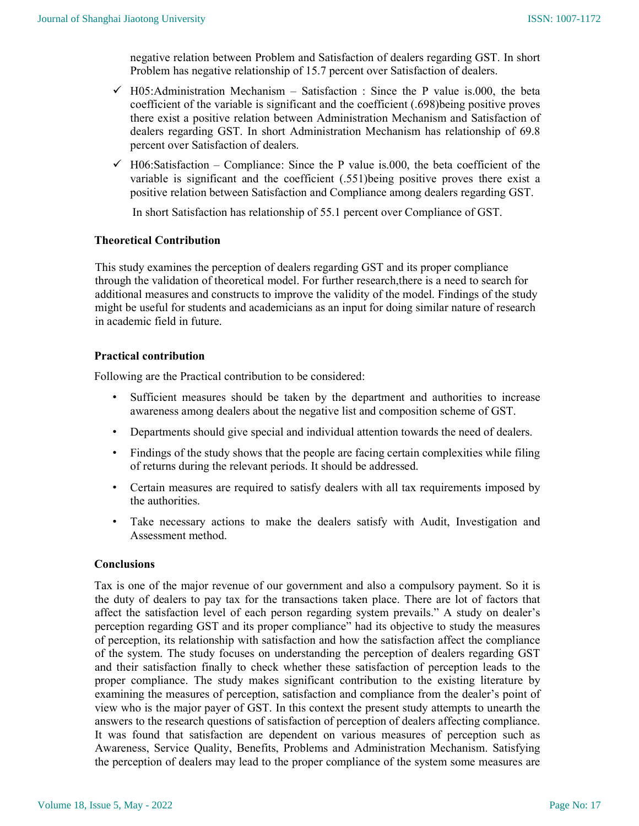negative relation between Problem and Satisfaction of dealers regarding GST. In short Problem has negative relationship of 15.7 percent over Satisfaction of dealers.

- $\checkmark$  H05:Administration Mechanism Satisfaction : Since the P value is.000, the beta coefficient of the variable is significant and the coefficient (.698)being positive proves there exist a positive relation between Administration Mechanism and Satisfaction of dealers regarding GST. In short Administration Mechanism has relationship of 69.8 percent over Satisfaction of dealers.
- $\checkmark$  H06:Satisfaction Compliance: Since the P value is.000, the beta coefficient of the variable is significant and the coefficient (.551)being positive proves there exist a positive relation between Satisfaction and Compliance among dealers regarding GST.

In short Satisfaction has relationship of 55.1 percent over Compliance of GST.

# Theoretical Contribution

This study examines the perception of dealers regarding GST and its proper compliance through the validation of theoretical model. For further research,there is a need to search for additional measures and constructs to improve the validity of the model. Findings of the study might be useful for students and academicians as an input for doing similar nature of research in academic field in future.

# Practical contribution

Following are the Practical contribution to be considered:

- Sufficient measures should be taken by the department and authorities to increase awareness among dealers about the negative list and composition scheme of GST.
- Departments should give special and individual attention towards the need of dealers.
- Findings of the study shows that the people are facing certain complexities while filing of returns during the relevant periods. It should be addressed.
- Certain measures are required to satisfy dealers with all tax requirements imposed by the authorities.
- Take necessary actions to make the dealers satisfy with Audit, Investigation and Assessment method.

#### Conclusions

Tax is one of the major revenue of our government and also a compulsory payment. So it is the duty of dealers to pay tax for the transactions taken place. There are lot of factors that affect the satisfaction level of each person regarding system prevails." A study on dealer's perception regarding GST and its proper compliance" had its objective to study the measures of perception, its relationship with satisfaction and how the satisfaction affect the compliance of the system. The study focuses on understanding the perception of dealers regarding GST and their satisfaction finally to check whether these satisfaction of perception leads to the proper compliance. The study makes significant contribution to the existing literature by examining the measures of perception, satisfaction and compliance from the dealer's point of view who is the major payer of GST. In this context the present study attempts to unearth the answers to the research questions of satisfaction of perception of dealers affecting compliance. It was found that satisfaction are dependent on various measures of perception such as Awareness, Service Quality, Benefits, Problems and Administration Mechanism. Satisfying the perception of dealers may lead to the proper compliance of the system some measures are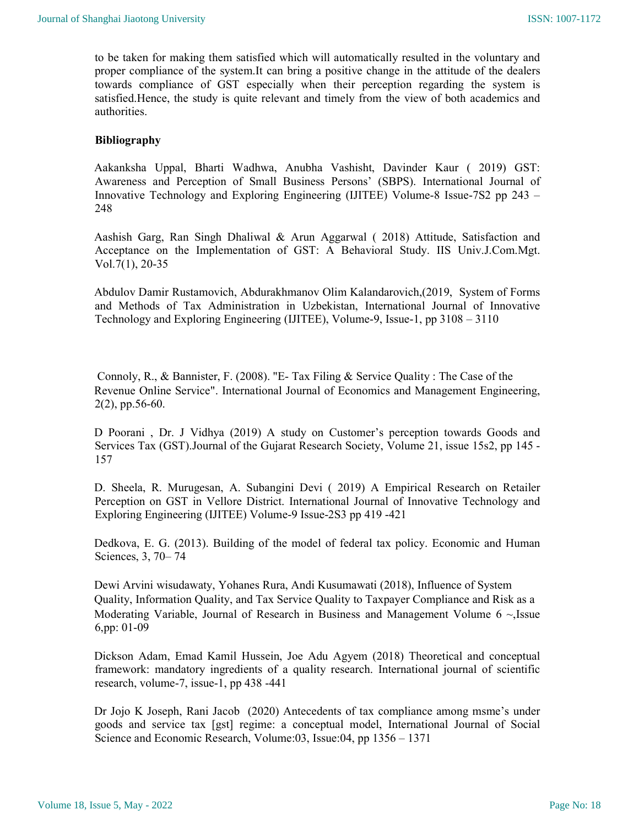to be taken for making them satisfied which will automatically resulted in the voluntary and proper compliance of the system.It can bring a positive change in the attitude of the dealers towards compliance of GST especially when their perception regarding the system is satisfied.Hence, the study is quite relevant and timely from the view of both academics and authorities.

### Bibliography

Aakanksha Uppal, Bharti Wadhwa, Anubha Vashisht, Davinder Kaur ( 2019) GST: Awareness and Perception of Small Business Persons' (SBPS). International Journal of Innovative Technology and Exploring Engineering (IJITEE) Volume-8 Issue-7S2 pp 243 – 248

Aashish Garg, Ran Singh Dhaliwal & Arun Aggarwal ( 2018) Attitude, Satisfaction and Acceptance on the Implementation of GST: A Behavioral Study. IIS Univ.J.Com.Mgt. Vol.7(1), 20-35

Abdulov Damir Rustamovich, Abdurakhmanov Olim Kalandarovich,(2019, System of Forms and Methods of Tax Administration in Uzbekistan, International Journal of Innovative Technology and Exploring Engineering (IJITEE), Volume-9, Issue-1, pp 3108 – 3110

 Connoly, R., & Bannister, F. (2008). "E- Tax Filing & Service Quality : The Case of the Revenue Online Service". International Journal of Economics and Management Engineering, 2(2), pp.56-60.

D Poorani , Dr. J Vidhya (2019) A study on Customer's perception towards Goods and Services Tax (GST).Journal of the Gujarat Research Society, Volume 21, issue 15s2, pp 145 - 157

D. Sheela, R. Murugesan, A. Subangini Devi ( 2019) A Empirical Research on Retailer Perception on GST in Vellore District. International Journal of Innovative Technology and Exploring Engineering (IJITEE) Volume-9 Issue-2S3 pp 419 -421

Dedkova, E. G. (2013). Building of the model of federal tax policy. Economic and Human Sciences, 3, 70– 74

Dewi Arvini wisudawaty, Yohanes Rura, Andi Kusumawati (2018), Influence of System Quality, Information Quality, and Tax Service Quality to Taxpayer Compliance and Risk as a Moderating Variable, Journal of Research in Business and Management Volume 6 ~,Issue 6,pp: 01-09

Dickson Adam, Emad Kamil Hussein, Joe Adu Agyem (2018) Theoretical and conceptual framework: mandatory ingredients of a quality research. International journal of scientific research, volume-7, issue-1, pp 438 -441

Dr Jojo K Joseph, Rani Jacob (2020) Antecedents of tax compliance among msme's under goods and service tax [gst] regime: a conceptual model, International Journal of Social Science and Economic Research, Volume:03, Issue:04, pp 1356 – 1371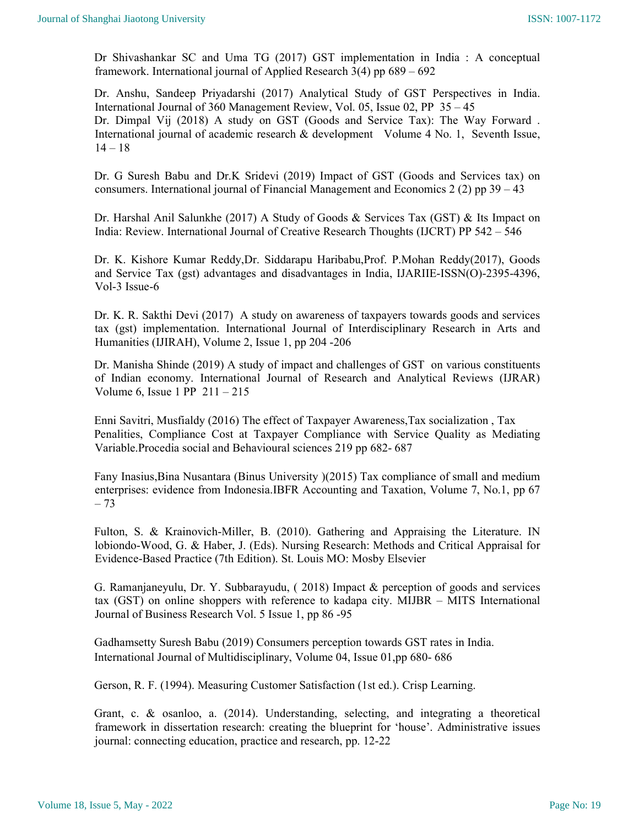Dr Shivashankar SC and Uma TG (2017) GST implementation in India : A conceptual framework. International journal of Applied Research 3(4) pp 689 – 692

Dr. Anshu, Sandeep Priyadarshi (2017) Analytical Study of GST Perspectives in India. International Journal of 360 Management Review, Vol. 05, Issue 02, PP 35 – 45 Dr. Dimpal Vij (2018) A study on GST (Goods and Service Tax): The Way Forward . International journal of academic research & development Volume 4 No. 1, Seventh Issue,  $14 - 18$ 

Dr. G Suresh Babu and Dr.K Sridevi (2019) Impact of GST (Goods and Services tax) on consumers. International journal of Financial Management and Economics 2 (2) pp 39 – 43

Dr. Harshal Anil Salunkhe (2017) A Study of Goods & Services Tax (GST) & Its Impact on India: Review. International Journal of Creative Research Thoughts (IJCRT) PP 542 – 546

Dr. K. Kishore Kumar Reddy,Dr. Siddarapu Haribabu,Prof. P.Mohan Reddy(2017), Goods and Service Tax (gst) advantages and disadvantages in India, IJARIIE-ISSN(O)-2395-4396, Vol-3 Issue-6

Dr. K. R. Sakthi Devi (2017) A study on awareness of taxpayers towards goods and services tax (gst) implementation. International Journal of Interdisciplinary Research in Arts and Humanities (IJIRAH), Volume 2, Issue 1, pp 204 -206

Dr. Manisha Shinde (2019) A study of impact and challenges of GST on various constituents of Indian economy. International Journal of Research and Analytical Reviews (IJRAR) Volume 6, Issue 1 PP 211 – 215

Enni Savitri, Musfialdy (2016) The effect of Taxpayer Awareness,Tax socialization , Tax Penalities, Compliance Cost at Taxpayer Compliance with Service Quality as Mediating Variable.Procedia social and Behavioural sciences 219 pp 682- 687

Fany Inasius,Bina Nusantara (Binus University )(2015) Tax compliance of small and medium enterprises: evidence from Indonesia.IBFR Accounting and Taxation, Volume 7, No.1, pp 67 – 73

Fulton, S. & Krainovich-Miller, B. (2010). Gathering and Appraising the Literature. IN lobiondo-Wood, G. & Haber, J. (Eds). Nursing Research: Methods and Critical Appraisal for Evidence-Based Practice (7th Edition). St. Louis MO: Mosby Elsevier

G. Ramanjaneyulu, Dr. Y. Subbarayudu, ( 2018) Impact & perception of goods and services tax (GST) on online shoppers with reference to kadapa city. MIJBR – MITS International Journal of Business Research Vol. 5 Issue 1, pp 86 -95

Gadhamsetty Suresh Babu (2019) Consumers perception towards GST rates in India. International Journal of Multidisciplinary, Volume 04, Issue 01,pp 680- 686

Gerson, R. F. (1994). Measuring Customer Satisfaction (1st ed.). Crisp Learning.

Grant, c. & osanloo, a. (2014). Understanding, selecting, and integrating a theoretical framework in dissertation research: creating the blueprint for 'house'. Administrative issues journal: connecting education, practice and research, pp. 12-22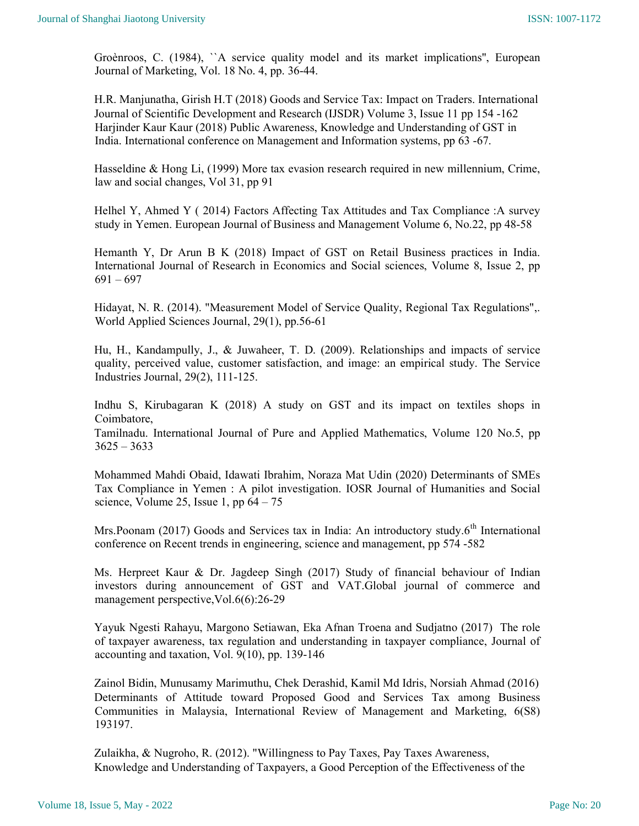Groènroos, C. (1984), ``A service quality model and its market implications'', European Journal of Marketing, Vol. 18 No. 4, pp. 36-44.

H.R. Manjunatha, Girish H.T (2018) Goods and Service Tax: Impact on Traders. International Journal of Scientific Development and Research (IJSDR) Volume 3, Issue 11 pp 154 -162 Harjinder Kaur Kaur (2018) Public Awareness, Knowledge and Understanding of GST in India. International conference on Management and Information systems, pp 63 -67.

Hasseldine & Hong Li, (1999) More tax evasion research required in new millennium, Crime, law and social changes, Vol 31, pp 91

Helhel Y, Ahmed Y ( 2014) Factors Affecting Tax Attitudes and Tax Compliance :A survey study in Yemen. European Journal of Business and Management Volume 6, No.22, pp 48-58

Hemanth Y, Dr Arun B K (2018) Impact of GST on Retail Business practices in India. International Journal of Research in Economics and Social sciences, Volume 8, Issue 2, pp  $691 - 697$ 

Hidayat, N. R. (2014). "Measurement Model of Service Quality, Regional Tax Regulations",. World Applied Sciences Journal, 29(1), pp.56-61

Hu, H., Kandampully, J., & Juwaheer, T. D. (2009). Relationships and impacts of service quality, perceived value, customer satisfaction, and image: an empirical study. The Service Industries Journal, 29(2), 111-125.

Indhu S, Kirubagaran K (2018) A study on GST and its impact on textiles shops in Coimbatore,

Tamilnadu. International Journal of Pure and Applied Mathematics, Volume 120 No.5, pp  $3625 - 3633$ 

Mohammed Mahdi Obaid, Idawati Ibrahim, Noraza Mat Udin (2020) Determinants of SMEs Tax Compliance in Yemen : A pilot investigation. IOSR Journal of Humanities and Social science, Volume 25, Issue 1, pp  $64 - 75$ 

Mrs.Poonam (2017) Goods and Services tax in India: An introductory study. $6<sup>th</sup>$  International conference on Recent trends in engineering, science and management, pp 574 -582

Ms. Herpreet Kaur & Dr. Jagdeep Singh (2017) Study of financial behaviour of Indian investors during announcement of GST and VAT.Global journal of commerce and management perspective,Vol.6(6):26-29

Yayuk Ngesti Rahayu, Margono Setiawan, Eka Afnan Troena and Sudjatno (2017) The role of taxpayer awareness, tax regulation and understanding in taxpayer compliance, Journal of accounting and taxation, Vol. 9(10), pp. 139-146

Zainol Bidin, Munusamy Marimuthu, Chek Derashid, Kamil Md Idris, Norsiah Ahmad (2016) Determinants of Attitude toward Proposed Good and Services Tax among Business Communities in Malaysia, International Review of Management and Marketing, 6(S8) 193197.

Zulaikha, & Nugroho, R. (2012). "Willingness to Pay Taxes, Pay Taxes Awareness, Knowledge and Understanding of Taxpayers, a Good Perception of the Effectiveness of the